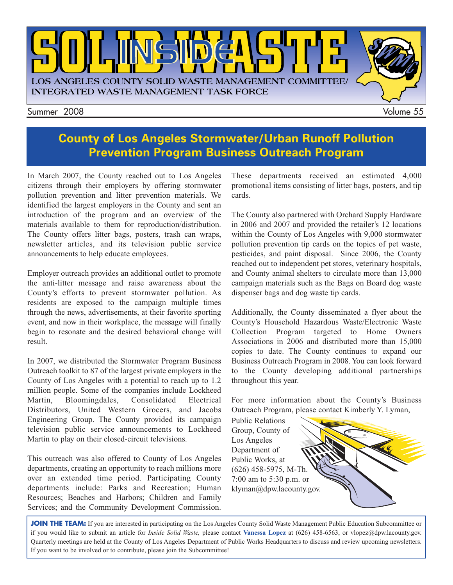

#### **County of Los Angeles Stormwater/Urban Runoff Pollution Prevention Program Business Outreach Program**

In March 2007, the County reached out to Los Angeles citizens through their employers by offering stormwater pollution prevention and litter prevention materials. We identified the largest employers in the County and sent an introduction of the program and an overview of the materials available to them for reproduction/distribution. The County offers litter bags, posters, trash can wraps, newsletter articles, and its television public service announcements to help educate employees.

Employer outreach provides an additional outlet to promote the anti-litter message and raise awareness about the County's efforts to prevent stormwater pollution. As residents are exposed to the campaign multiple times through the news, advertisements, at their favorite sporting event, and now in their workplace, the message will finally begin to resonate and the desired behavioral change will result.

In 2007, we distributed the Stormwater Program Business Outreach toolkit to 87 of the largest private employers in the County of Los Angeles with a potential to reach up to 1.2 million people. Some of the companies include Lockheed Martin, Bloomingdales, Consolidated Electrical Distributors, United Western Grocers, and Jacobs Engineering Group. The County provided its campaign television public service announcements to Lockheed Martin to play on their closed-circuit televisions.

This outreach was also offered to County of Los Angeles departments, creating an opportunity to reach millions more over an extended time period. Participating County departments include: Parks and Recreation; Human Resources; Beaches and Harbors; Children and Family Services; and the Community Development Commission. These departments received an estimated 4,000 promotional items consisting of litter bags, posters, and tip cards.

The County also partnered with Orchard Supply Hardware in 2006 and 2007 and provided the retailer's 12 locations within the County of Los Angeles with 9,000 stormwater pollution prevention tip cards on the topics of pet waste, pesticides, and paint disposal. Since 2006, the County reached out to independent pet stores, veterinary hospitals, and County animal shelters to circulate more than 13,000 campaign materials such as the Bags on Board dog waste dispenser bags and dog waste tip cards.

Additionally, the County disseminated a flyer about the County's Household Hazardous Waste/Electronic Waste Collection Program targeted to Home Owners Associations in 2006 and distributed more than 15,000 copies to date. The County continues to expand our Business Outreach Program in 2008. You can look forward to the County developing additional partnerships throughout this year.

For more information about the County's Business Outreach Program, please contact Kimberly Y. Lyman,

Public Relations Group, County of Los Angeles Department of Public Works, at (626) 458-5975, M-Th. 7:00 am to 5:30 p.m. or [klyman@dpw.lacounty.gov.](mailto://klyman@dpw.lacounty.gov) 

JOIN THE TEAM: If you are interested in participating on the Los Angeles County Solid Waste Management Public Education Subcommittee or if you would like to submit an article for *Inside Solid Waste,* please contact **Vanessa Lopez** [at \(626\) 458-6563, or vlopez@dpw.lacounty.gov.](mailto;//vlopez@dpw.lacounty.gov) Quarterly meetings are held at the County of Los Angeles Department of Public Works Headquarters to discuss and review upcoming newsletters. If you want to be involved or to contribute, please join the Subcommittee!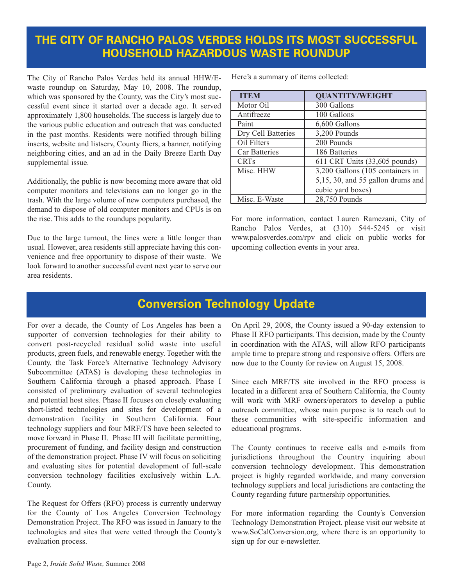#### **THE CITY OF RANCHO PALOS VERDES HOLDS ITS MOST SUCCESSFUL HOUSEHOLD HAZARDOUS WASTE ROUNDUP**

The City of Rancho Palos Verdes held its annual HHW/Ewaste roundup on Saturday, May 10, 2008. The roundup, which was sponsored by the County, was the City's most successful event since it started over a decade ago. It served approximately 1,800 households. The success is largely due to the various public education and outreach that was conducted in the past months. Residents were notified through billing inserts, website and listserv, County fliers, a banner, notifying neighboring cities, and an ad in the Daily Breeze Earth Day supplemental issue.

Additionally, the public is now becoming more aware that old computer monitors and televisions can no longer go in the trash. With the large volume of new computers purchased, the demand to dispose of old computer monitors and CPUs is on the rise. This adds to the roundups popularity.

Due to the large turnout, the lines were a little longer than usual. However, area residents still appreciate having this convenience and free opportunity to dispose of their waste. We look forward to another successful event next year to serve our area residents.

Here's a summary of items collected:

| <b>ITEM</b>        | <b>QUANTITY/WEIGHT</b>                |
|--------------------|---------------------------------------|
| Motor Oil          | 300 Gallons                           |
| Antifreeze         | 100 Gallons                           |
| Paint              | 6,600 Gallons                         |
| Dry Cell Batteries | 3,200 Pounds                          |
| Oil Filters        | 200 Pounds                            |
| Car Batteries      | 186 Batteries                         |
| <b>CRTs</b>        | 611 CRT Units (33,605 pounds)         |
| Misc. HHW          | 3,200 Gallons (105 containers in      |
|                    | $5,15, 30,$ and $55$ gallon drums and |
|                    | cubic yard boxes)                     |
| Misc. E-Waste      | 28,750 Pounds                         |

For more information, contact Lauren Ramezani, City of Rancho Palos Verdes, at (310) 544-5245 or visit <www.palosverdes.com/rpv>and click on public works for upcoming collection events in your area.

#### **Conversion Technology Update**

For over a decade, the County of Los Angeles has been a supporter of conversion technologies for their ability to convert post-recycled residual solid waste into useful products, green fuels, and renewable energy. Together with the County, the Task Force's Alternative Technology Advisory Subcommittee (ATAS) is developing these technologies in Southern California through a phased approach. Phase I consisted of preliminary evaluation of several technologies and potential host sites. Phase II focuses on closely evaluating short-listed technologies and sites for development of a demonstration facility in Southern California. Four technology suppliers and four MRF/TS have been selected to move forward in Phase II. Phase III will facilitate permitting, procurement of funding, and facility design and construction of the demonstration project. Phase IV will focus on soliciting and evaluating sites for potential development of full-scale conversion technology facilities exclusively within L.A. County.

The Request for Offers (RFO) process is currently underway for the County of Los Angeles Conversion Technology Demonstration Project. The RFO was issued in January to the technologies and sites that were vetted through the County's evaluation process.

On April 29, 2008, the County issued a 90-day extension to Phase II RFO participants. This decision, made by the County in coordination with the ATAS, will allow RFO participants ample time to prepare strong and responsive offers. Offers are now due to the County for review on August 15, 2008.

Since each MRF/TS site involved in the RFO process is located in a different area of Southern California, the County will work with MRF owners/operators to develop a public outreach committee, whose main purpose is to reach out to these communities with site-specific information and educational programs.

The County continues to receive calls and e-mails from jurisdictions throughout the Country inquiring about conversion technology development. This demonstration project is highly regarded worldwide, and many conversion technology suppliers and local jurisdictions are contacting the County regarding future partnership opportunities.

For more information regarding the County's Conversion Technology Demonstration Project, please visit our website at [www.SoCalConversion.org,](www.SoCalConversion.org) where there is an opportunity to sign up for our e-newsletter.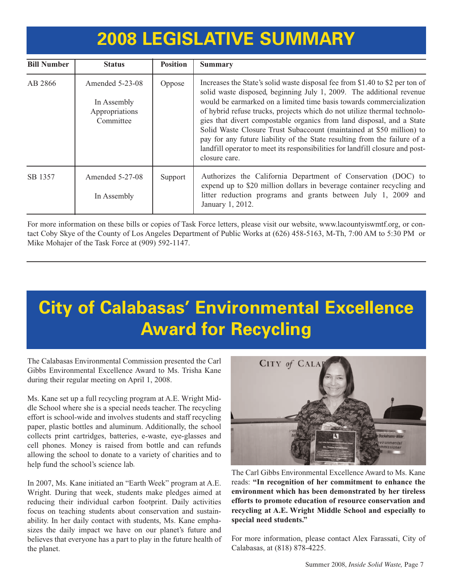### **2008 LEGISLATIVE SUMMARY**

| <b>Bill Number</b> | <b>Status</b>                                                   | <b>Position</b> | <b>Summary</b>                                                                                                                                                                                                                                                                                                                                                                                                                                                                                                                                                                                                                           |
|--------------------|-----------------------------------------------------------------|-----------------|------------------------------------------------------------------------------------------------------------------------------------------------------------------------------------------------------------------------------------------------------------------------------------------------------------------------------------------------------------------------------------------------------------------------------------------------------------------------------------------------------------------------------------------------------------------------------------------------------------------------------------------|
| AB 2866            | Amended $5-23-08$<br>In Assembly<br>Appropriations<br>Committee | Oppose          | Increases the State's solid waste disposal fee from \$1.40 to \$2 per ton of<br>solid waste disposed, beginning July 1, 2009. The additional revenue<br>would be earmarked on a limited time basis towards commercialization<br>of hybrid refuse trucks, projects which do not utilize thermal technolo-<br>gies that divert compostable organics from land disposal, and a State<br>Solid Waste Closure Trust Subaccount (maintained at \$50 million) to<br>pay for any future liability of the State resulting from the failure of a<br>landfill operator to meet its responsibilities for landfill closure and post-<br>closure care. |
| SB 1357            | Amended 5-27-08<br>In Assembly                                  | Support         | Authorizes the California Department of Conservation (DOC) to<br>expend up to \$20 million dollars in beverage container recycling and<br>litter reduction programs and grants between July 1, 2009 and<br>January 1, 2012.                                                                                                                                                                                                                                                                                                                                                                                                              |

For more information on these bills or copies of Task Force letters, please visit our website, www.lacountyiswmtf.org, or contact Coby Skye of the County of Los Angeles Department of Public Works at (626) 458-5163, M-Th, 7:00 AM to 5:30 PM or Mike Mohajer of the Task Force at (909) 592-1147.

## **[City of Calabasas'](http://www.cityofcalabasas.com/) Environmental Excellence Award for Recycling**

The Calabasas Environmental Commission presented the Carl Gibbs Environmental Excellence Award to Ms. Trisha Kane during their regular meeting on April 1, 2008.

Ms. Kane set up a full recycling program at A.E. Wright Middle School where she is a special needs teacher. The recycling effort is school-wide and involves students and staff recycling paper, plastic bottles and aluminum. Additionally, the school collects print cartridges, batteries, e-waste, eye-glasses and cell phones. Money is raised from bottle and can refunds allowing the school to donate to a variety of charities and to help fund the school's science lab.

In 2007, Ms. Kane initiated an "Earth Week" program at A.E. Wright. During that week, students make pledges aimed at reducing their individual carbon footprint. Daily activities focus on teaching students about conservation and sustainability. In her daily contact with students, Ms. Kane emphasizes the daily impact we have on our planet's future and believes that everyone has a part to play in the future health of the planet.



The Carl Gibbs Environmental Excellence Award to Ms. Kane reads: **"In recognition of her commitment to enhance the environment which has been demonstrated by her tireless efforts to promote education of resource conservation and recycling at A.E. Wright Middle School and especially to special need students."**

For more information, please contact Alex Farassati, City of Calabasas, at (818) 878-4225.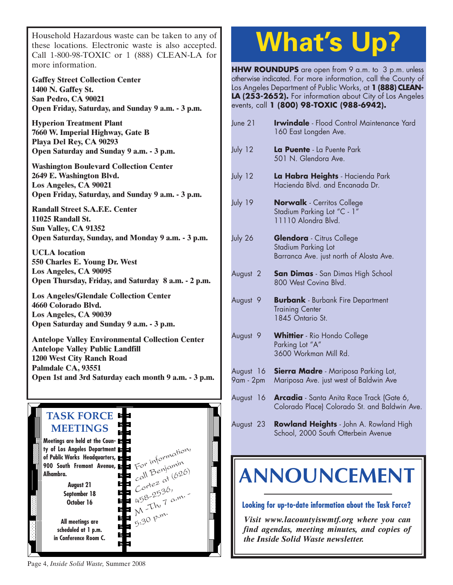Household Hazardous waste can be taken to any of these locations. Electronic waste is also accepted. Call 1-800-98-TOXIC or 1 (888) CLEAN-LA for more information.

**Gaffey Street Collection Center 1400 N. Gaffey St. San Pedro, CA 90021 Open Friday, Saturday, and Sunday 9 a.m. - 3 p.m.**

**Hyperion Treatment Plant 7660 W. Imperial Highway, Gate B Playa Del Rey, CA 90293 Open Saturday and Sunday 9 a.m. - 3 p.m.**

**Washington Boulevard Collection Center 2649 E. Washington Blvd. Los Angeles, CA 90021 Open Friday, Saturday, and Sunday 9 a.m. - 3 p.m.**

**Randall Street S.A.F.E. Center 11025 Randall St. Sun Valley, CA 91352 Open Saturday, Sunday, and Monday 9 a.m. - 3 p.m.**

**UCLA location 550 Charles E. Young Dr. West Los Angeles, CA 90095 [Open Thursday, Friday, and Saturday 8 a.m. - 2 p.m.](http://www.lacity.org/san/solid_resources/special/hhw/safe_centers/index.htm)**

**Los Angeles/Glendale Collection Center 4660 Colorado Blvd. Los Angeles, CA 90039 Open Saturday and Sunday 9 a.m. - 3 p.m.**

**Antelope Valley Environmental Collection Center Antelope Valley Public Landfill 1200 West City Ranch Road Palmdale CA, 93551 [Open 1st and 3rd Saturday each month 9 a.m. - 3 p.m.](http://ladpw.org/epd/avecc/index.cfm)**



# **What's Up?**

**HHW ROUNDUPS** are open from 9 a.m. to 3 p.m. unless otherwise indicated. For more information, call the County of Los Angeles Department of Public Works, at **1 (888) CLEAN-LA (253-2652).** For information about City of Los Angeles events, call **1 (800) 98-TOXIC (988-6942).**

| June 21                | <b>Irwindale</b> - Flood Control Maintenance Yard<br>160 East Longden Ave.                         |
|------------------------|----------------------------------------------------------------------------------------------------|
| July 12                | La Puente - La Puente Park<br>501 N. Glendora Ave.                                                 |
| July 12                | La Habra Heights - Hacienda Park<br>Hacienda Blvd. and Encanada Dr.                                |
| July 19                | <b>Norwalk</b> - Cerritos College<br>Stadium Parking Lot "C - 1"<br>11110 Alondra Blvd.            |
| July 26                | <b>Glendora</b> - Citrus College<br>Stadium Parking Lot<br>Barranca Ave. just north of Alosta Ave. |
| August <sub>2</sub>    | <b>San Dimas</b> - San Dimas High School<br>800 West Coving Blvd.                                  |
| August <sub>9</sub>    | <b>Burbank</b> - Burbank Fire Department<br><b>Training Center</b><br>1845 Ontario St.             |
| August <sub>9</sub>    | <b>Whittier</b> - Rio Hondo College<br>Parking Lot "A"<br>3600 Workman Mill Rd.                    |
| August 16<br>9am - 2pm | <b>Sierra Madre</b> - Mariposa Parking Lot,<br>Mariposa Ave. just west of Baldwin Ave              |
| August 16              | <b>Arcadia</b> - Santa Anita Race Track (Gate 6,<br>Colorado Place) Colorado St. and Baldwin Ave.  |
| August 23              | Rowland Heights - John A. Rowland High<br>School, 2000 South Otterbein Avenue                      |

## **[ANNOUNCEMENT](www.lacountyiswmtf.org)**

**Looking for up-to-date information about the Task Force?**

*Visit www.lacountyiswmtf.org where you can find agendas, meeting minutes, and copies of the Inside Solid Waste newsletter.*

Page 4, *Inside Solid Waste,* Summer 2008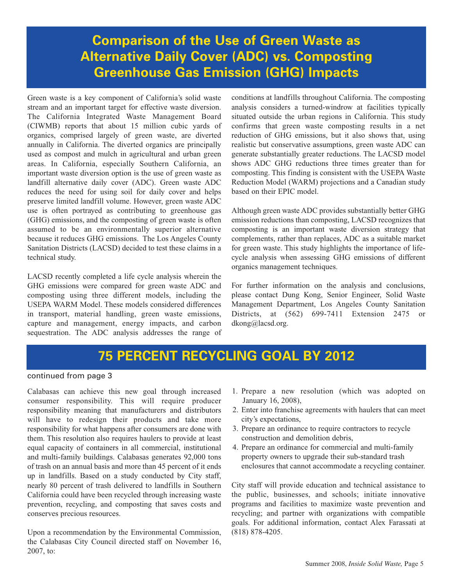### **Comparison of the Use of Green Waste as Alternative Daily Cover (ADC) vs. Composting Greenhouse Gas Emission (GHG) Impacts**

Green waste is a key component of California's solid waste stream and an important target for effective waste diversion. The California Integrated Waste Management Board (CIWMB) reports that about 15 million cubic yards of organics, comprised largely of green waste, are diverted annually in California. The diverted organics are principally used as compost and mulch in agricultural and urban green areas. In California, especially Southern California, an important waste diversion option is the use of green waste as landfill alternative daily cover (ADC). Green waste ADC reduces the need for using soil for daily cover and helps preserve limited landfill volume. However, green waste ADC use is often portrayed as contributing to greenhouse gas (GHG) emissions, and the composting of green waste is often assumed to be an environmentally superior alternative because it reduces GHG emissions. The Los Angeles County Sanitation Districts (LACSD) decided to test these claims in a technical study.

LACSD recently completed a life cycle analysis wherein the GHG emissions were compared for green waste ADC and composting using three different models, including the USEPA WARM Model. These models considered differences in transport, material handling, green waste emissions, capture and management, energy impacts, and carbon sequestration. The ADC analysis addresses the range of conditions at landfills throughout California. The composting analysis considers a turned-windrow at facilities typically situated outside the urban regions in California. This study confirms that green waste composting results in a net reduction of GHG emissions, but it also shows that, using realistic but conservative assumptions, green waste ADC can generate substantially greater reductions. The LACSD model shows ADC GHG reductions three times greater than for composting. This finding is consistent with the USEPA Waste Reduction Model (WARM) projections and a Canadian study based on their EPIC model.

Although green waste ADC provides substantially better GHG emission reductions than composting, LACSD recognizes that composting is an important waste diversion strategy that complements, rather than replaces, ADC as a suitable market for green waste. This study highlights the importance of lifecycle analysis when assessing GHG emissions of different organics management techniques.

For further information on the analysis and conclusions, please contact Dung Kong, Senior Engineer, Solid Waste Management Department, Los Angeles County Sanitation Districts, at (562) 699-7411 Extension 2475 or dkong@lacsd.org.

### **75 PERCENT RECYCLING GOAL BY 2012**

#### continued from page 3

Calabasas can achieve this new goal through increased consumer responsibility. This will require producer responsibility meaning that manufacturers and distributors will have to redesign their products and take more responsibility for what happens after consumers are done with them. This resolution also requires haulers to provide at least equal capacity of containers in all commercial, institutional and multi-family buildings. Calabasas generates 92,000 tons of trash on an annual basis and more than 45 percent of it ends up in landfills. Based on a study conducted by City staff, nearly 80 percent of trash delivered to landfills in Southern California could have been recycled through increasing waste prevention, recycling, and composting that saves costs and conserves precious resources.

Upon a recommendation by the Environmental Commission, the Calabasas City Council directed staff on November 16, 2007, to:

- 1. Prepare a new resolution (which was adopted on January 16, 2008),
- 2. Enter into franchise agreements with haulers that can meet city's expectations,
- 3. Prepare an ordinance to require contractors to recycle construction and demolition debris,
- 4. Prepare an ordinance for commercial and multi-family property owners to upgrade their sub-standard trash enclosures that cannot accommodate a recycling container.

City staff will provide education and technical assistance to the public, businesses, and schools; initiate innovative programs and facilities to maximize waste prevention and recycling; and partner with organizations with compatible goals. For additional information, contact Alex Farassati at (818) 878-4205.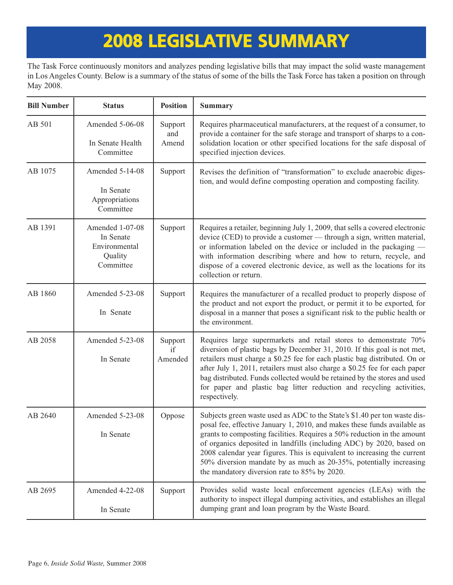## **2008 LEGISLATIVE SUMMARY**

The Task Force continuously monitors and analyzes pending legislative bills that may impact the solid waste management in Los Angeles County. Below is a summary of the status of some of the bills the Task Force has taken a position on through May 2008.

| <b>Bill Number</b> | <b>Status</b>                                                         | <b>Position</b>          | <b>Summary</b>                                                                                                                                                                                                                                                                                                                                                                                                                                                                                             |
|--------------------|-----------------------------------------------------------------------|--------------------------|------------------------------------------------------------------------------------------------------------------------------------------------------------------------------------------------------------------------------------------------------------------------------------------------------------------------------------------------------------------------------------------------------------------------------------------------------------------------------------------------------------|
| AB 501             | Amended 5-06-08<br>In Senate Health<br>Committee                      | Support<br>and<br>Amend  | Requires pharmaceutical manufacturers, at the request of a consumer, to<br>provide a container for the safe storage and transport of sharps to a con-<br>solidation location or other specified locations for the safe disposal of<br>specified injection devices.                                                                                                                                                                                                                                         |
| AB 1075            | Amended 5-14-08<br>In Senate<br>Appropriations<br>Committee           | Support                  | Revises the definition of "transformation" to exclude anaerobic diges-<br>tion, and would define composting operation and composting facility.                                                                                                                                                                                                                                                                                                                                                             |
| AB 1391            | Amended 1-07-08<br>In Senate<br>Environmental<br>Quality<br>Committee | Support                  | Requires a retailer, beginning July 1, 2009, that sells a covered electronic<br>device (CED) to provide a customer — through a sign, written material,<br>or information labeled on the device or included in the packaging —<br>with information describing where and how to return, recycle, and<br>dispose of a covered electronic device, as well as the locations for its<br>collection or return.                                                                                                    |
| AB 1860            | Amended 5-23-08<br>In Senate                                          | Support                  | Requires the manufacturer of a recalled product to properly dispose of<br>the product and not export the product, or permit it to be exported, for<br>disposal in a manner that poses a significant risk to the public health or<br>the environment.                                                                                                                                                                                                                                                       |
| AB 2058            | Amended 5-23-08<br>In Senate                                          | Support<br>if<br>Amended | Requires large supermarkets and retail stores to demonstrate 70%<br>diversion of plastic bags by December 31, 2010. If this goal is not met,<br>retailers must charge a \$0.25 fee for each plastic bag distributed. On or<br>after July 1, 2011, retailers must also charge a \$0.25 fee for each paper<br>bag distributed. Funds collected would be retained by the stores and used<br>for paper and plastic bag litter reduction and recycling activities,<br>respectively.                             |
| AB 2640            | Amended 5-23-08<br>In Senate                                          | Oppose                   | Subjects green waste used as ADC to the State's \$1.40 per ton waste dis-<br>posal fee, effective January 1, 2010, and makes these funds available as<br>grants to composting facilities. Requires a 50% reduction in the amount<br>of organics deposited in landfills (including ADC) by 2020, based on<br>2008 calendar year figures. This is equivalent to increasing the current<br>50% diversion mandate by as much as 20-35%, potentially increasing<br>the mandatory diversion rate to 85% by 2020. |
| AB 2695            | Amended 4-22-08<br>In Senate                                          | Support                  | Provides solid waste local enforcement agencies (LEAs) with the<br>authority to inspect illegal dumping activities, and establishes an illegal<br>dumping grant and loan program by the Waste Board.                                                                                                                                                                                                                                                                                                       |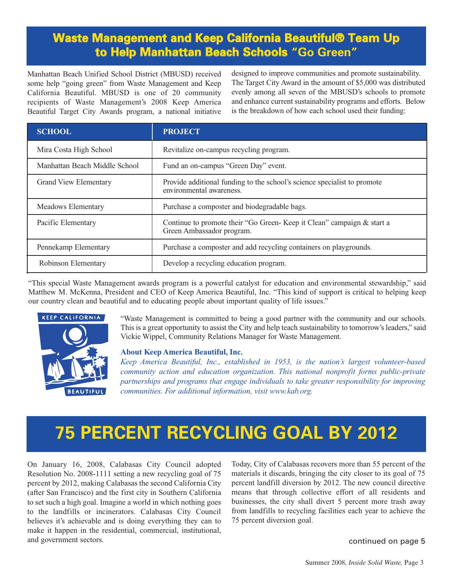### **Waste Management and Keep California Beautiful® Team Up to Help Manhattan Beach Schools "Go Green"**

Manhattan Beach Unified School District (MBUSD) received some help "going green" from Waste Management and Keep California Beautiful. MBUSD is one of 20 community recipients of Waste Management's 2008 Keep America Beautiful Target City Awards program, a national initiative designed to improve communities and promote sustainability. The Target City Award in the amount of \$5,000 was distributed evenly among all seven of the MBUSD's schools to promote and enhance current sustainability programs and efforts. Below is the breakdown of how each school used their funding:

| <b>SCHOOL</b>                 | <b>PROJECT</b>                                                                                       |  |
|-------------------------------|------------------------------------------------------------------------------------------------------|--|
| Mira Costa High School        | Revitalize on-campus recycling program.                                                              |  |
| Manhattan Beach Middle School | Fund an on-campus "Green Day" event.                                                                 |  |
| <b>Grand View Elementary</b>  | Provide additional funding to the school's science specialist to promote<br>environmental awareness. |  |
| Meadows Elementary            | Purchase a composter and biodegradable bags.                                                         |  |
| Pacific Elementary            | Continue to promote their "Go Green-Keep it Clean" campaign & start a<br>Green Ambassador program.   |  |
| Pennekamp Elementary          | Purchase a composter and add recycling containers on playgrounds.                                    |  |
| Robinson Elementary           | Develop a recycling education program.                                                               |  |

"This special Waste Management awards program is a powerful catalyst for education and environmental stewardship," said Matthew M. McKenna, President and CEO of Keep America Beautiful, Inc. "This kind of support is critical to helping keep our country clean and beautiful and to educating people about important quality of life issues."



"Waste Management is committed to being a good partner with the community and our schools. This is a great opportunity to assist the City and help teach sustainability to tomorrow's leaders," said Vickie Wippel, Community Relations Manager for Waste Management.

#### **About Keep America Beautiful, Inc.**

*[Keep America Beautiful, Inc., established in 1953, is the nation's largest volunteer-based](www.kab.org) community action and education organization. This national nonprofit forms public-private partnerships and programs that engage individuals to take greater responsibility for improving communities. For additional information, visit www.kab.org.*

### **75 PERCENT RECYCLING GOAL BY 2012**

On January 16, 2008, Calabasas City Council adopted Resolution No. 2008-1111 setting a new recycling goal of 75 percent by 2012, making Calabasas the second California City (after San Francisco) and the first city in Southern California to set such a high goal. Imagine a world in which nothing goes to the landfills or incinerators. Calabasas City Council believes it's achievable and is doing everything they can to make it happen in the residential, commercial, institutional, and government sectors.

Today, City of Calabasas recovers more than 55 percent of the materials it discards, bringing the city closer to its goal of 75 percent landfill diversion by 2012. The new council directive means that through collective effort of all residents and businesses, the city shall divert 5 percent more trash away from landfills to recycling facilities each year to achieve the 75 percent diversion goal.

continued on page 5